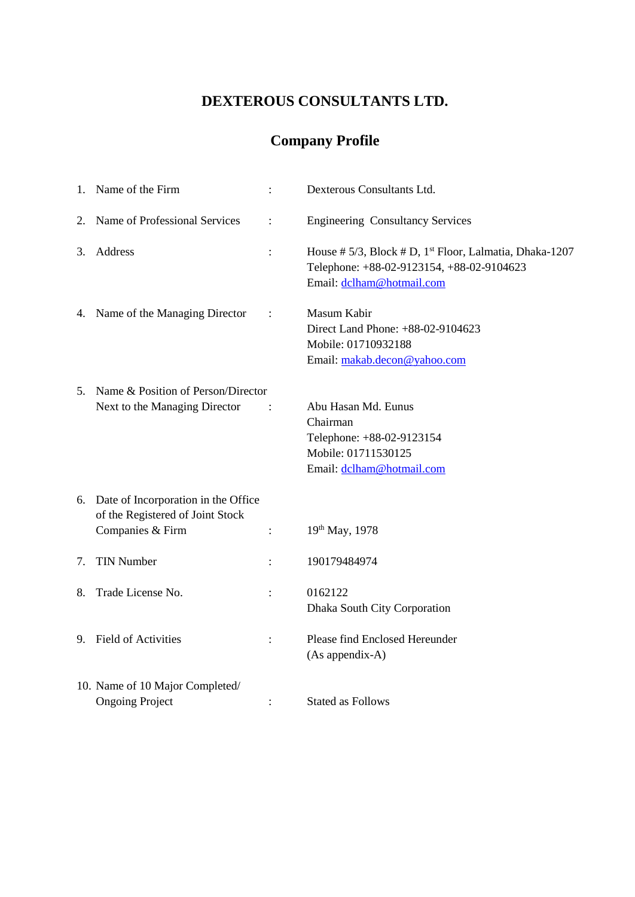# **DEXTEROUS CONSULTANTS LTD.**

# **Company Profile**

| 2. Name of Professional Services<br><b>Engineering Consultancy Services</b><br>$\ddot{\cdot}$<br>Address<br>3.<br>$\ddot{\cdot}$<br>Telephone: +88-02-9123154, +88-02-9104623<br>Email: dclham@hotmail.com<br>4. Name of the Managing Director<br>Masum Kabir<br>$\ddot{\cdot}$<br>Direct Land Phone: +88-02-9104623<br>Mobile: 01710932188<br>Email: makab.decon@yahoo.com<br>5. Name & Position of Person/Director<br>Abu Hasan Md. Eunus<br>Next to the Managing Director<br>Chairman<br>Telephone: +88-02-9123154<br>Mobile: 01711530125<br>Email: dclham@hotmail.com<br>Date of Incorporation in the Office<br>6.<br>of the Registered of Joint Stock<br>Companies & Firm<br>19th May, 1978<br>$\ddot{\cdot}$<br><b>TIN Number</b><br>190179484974<br>7.<br>8. Trade License No.<br>0162122<br>Dhaka South City Corporation<br>9. Field of Activities<br>Please find Enclosed Hereunder<br>(As appendix-A)<br>10. Name of 10 Major Completed/ | 1. Name of the Firm    | $\ddot{\cdot}$ | Dexterous Consultants Ltd.                                             |
|----------------------------------------------------------------------------------------------------------------------------------------------------------------------------------------------------------------------------------------------------------------------------------------------------------------------------------------------------------------------------------------------------------------------------------------------------------------------------------------------------------------------------------------------------------------------------------------------------------------------------------------------------------------------------------------------------------------------------------------------------------------------------------------------------------------------------------------------------------------------------------------------------------------------------------------------------|------------------------|----------------|------------------------------------------------------------------------|
|                                                                                                                                                                                                                                                                                                                                                                                                                                                                                                                                                                                                                                                                                                                                                                                                                                                                                                                                                    |                        |                |                                                                        |
|                                                                                                                                                                                                                                                                                                                                                                                                                                                                                                                                                                                                                                                                                                                                                                                                                                                                                                                                                    |                        |                | House # $5/3$ , Block # D, 1 <sup>st</sup> Floor, Lalmatia, Dhaka-1207 |
|                                                                                                                                                                                                                                                                                                                                                                                                                                                                                                                                                                                                                                                                                                                                                                                                                                                                                                                                                    |                        |                |                                                                        |
|                                                                                                                                                                                                                                                                                                                                                                                                                                                                                                                                                                                                                                                                                                                                                                                                                                                                                                                                                    |                        |                |                                                                        |
|                                                                                                                                                                                                                                                                                                                                                                                                                                                                                                                                                                                                                                                                                                                                                                                                                                                                                                                                                    |                        |                |                                                                        |
|                                                                                                                                                                                                                                                                                                                                                                                                                                                                                                                                                                                                                                                                                                                                                                                                                                                                                                                                                    |                        |                |                                                                        |
|                                                                                                                                                                                                                                                                                                                                                                                                                                                                                                                                                                                                                                                                                                                                                                                                                                                                                                                                                    |                        |                |                                                                        |
|                                                                                                                                                                                                                                                                                                                                                                                                                                                                                                                                                                                                                                                                                                                                                                                                                                                                                                                                                    |                        |                |                                                                        |
|                                                                                                                                                                                                                                                                                                                                                                                                                                                                                                                                                                                                                                                                                                                                                                                                                                                                                                                                                    |                        |                |                                                                        |
|                                                                                                                                                                                                                                                                                                                                                                                                                                                                                                                                                                                                                                                                                                                                                                                                                                                                                                                                                    | <b>Ongoing Project</b> | :              | <b>Stated as Follows</b>                                               |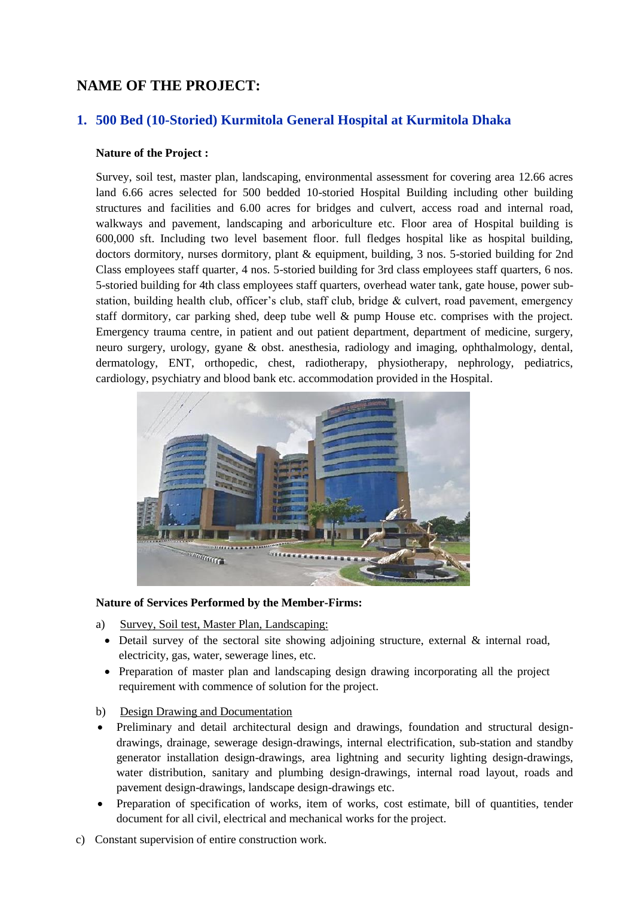# **NAME OF THE PROJECT:**

# **1. 500 Bed (10-Storied) Kurmitola General Hospital at Kurmitola Dhaka**

#### **Nature of the Project :**

Survey, soil test, master plan, landscaping, environmental assessment for covering area 12.66 acres land 6.66 acres selected for 500 bedded 10-storied Hospital Building including other building structures and facilities and 6.00 acres for bridges and culvert, access road and internal road, walkways and pavement, landscaping and arboriculture etc. Floor area of Hospital building is 600,000 sft. Including two level basement floor. full fledges hospital like as hospital building, doctors dormitory, nurses dormitory, plant & equipment, building, 3 nos. 5-storied building for 2nd Class employees staff quarter, 4 nos. 5-storied building for 3rd class employees staff quarters, 6 nos. 5-storied building for 4th class employees staff quarters, overhead water tank, gate house, power substation, building health club, officer's club, staff club, bridge & culvert, road pavement, emergency staff dormitory, car parking shed, deep tube well & pump House etc. comprises with the project. Emergency trauma centre, in patient and out patient department, department of medicine, surgery, neuro surgery, urology, gyane & obst. anesthesia, radiology and imaging, ophthalmology, dental, dermatology, ENT, orthopedic, chest, radiotherapy, physiotherapy, nephrology, pediatrics, cardiology, psychiatry and blood bank etc. accommodation provided in the Hospital.



- a) Survey, Soil test, Master Plan, Landscaping:
	- Detail survey of the sectoral site showing adjoining structure, external & internal road, electricity, gas, water, sewerage lines, etc.
	- Preparation of master plan and landscaping design drawing incorporating all the project requirement with commence of solution for the project.
- b) Design Drawing and Documentation
- Preliminary and detail architectural design and drawings, foundation and structural designdrawings, drainage, sewerage design-drawings, internal electrification, sub-station and standby generator installation design-drawings, area lightning and security lighting design-drawings, water distribution, sanitary and plumbing design-drawings, internal road layout, roads and pavement design-drawings, landscape design-drawings etc.
- Preparation of specification of works, item of works, cost estimate, bill of quantities, tender document for all civil, electrical and mechanical works for the project.
- c) Constant supervision of entire construction work.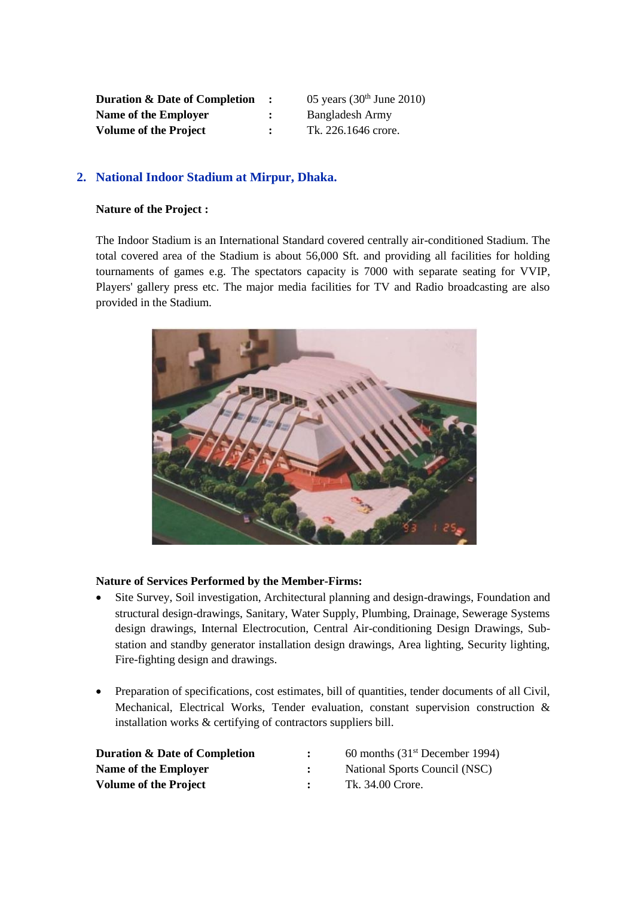| <b>Duration &amp; Date of Completion</b> |                | 05 years $(30th$ June 2010) |
|------------------------------------------|----------------|-----------------------------|
| Name of the Employer                     | $\ddot{\cdot}$ | Bangladesh Army             |
| <b>Volume of the Project</b>             | $\mathbf{r}$   | Tk. 226.1646 crore.         |

#### **2. National Indoor Stadium at Mirpur, Dhaka.**

#### **Nature of the Project :**

The Indoor Stadium is an International Standard covered centrally air-conditioned Stadium. The total covered area of the Stadium is about 56,000 Sft. and providing all facilities for holding tournaments of games e.g. The spectators capacity is 7000 with separate seating for VVIP, Players' gallery press etc. The major media facilities for TV and Radio broadcasting are also provided in the Stadium.



- Site Survey, Soil investigation, Architectural planning and design-drawings, Foundation and structural design-drawings, Sanitary, Water Supply, Plumbing, Drainage, Sewerage Systems design drawings, Internal Electrocution, Central Air-conditioning Design Drawings, Substation and standby generator installation design drawings, Area lighting, Security lighting, Fire-fighting design and drawings.
- Preparation of specifications, cost estimates, bill of quantities, tender documents of all Civil, Mechanical, Electrical Works, Tender evaluation, constant supervision construction & installation works & certifying of contractors suppliers bill.

| <b>Duration &amp; Date of Completion</b> | 60 months $(31st December 1994)$ |
|------------------------------------------|----------------------------------|
| Name of the Employer                     | National Sports Council (NSC)    |
| <b>Volume of the Project</b>             | Tk. 34.00 Crore.                 |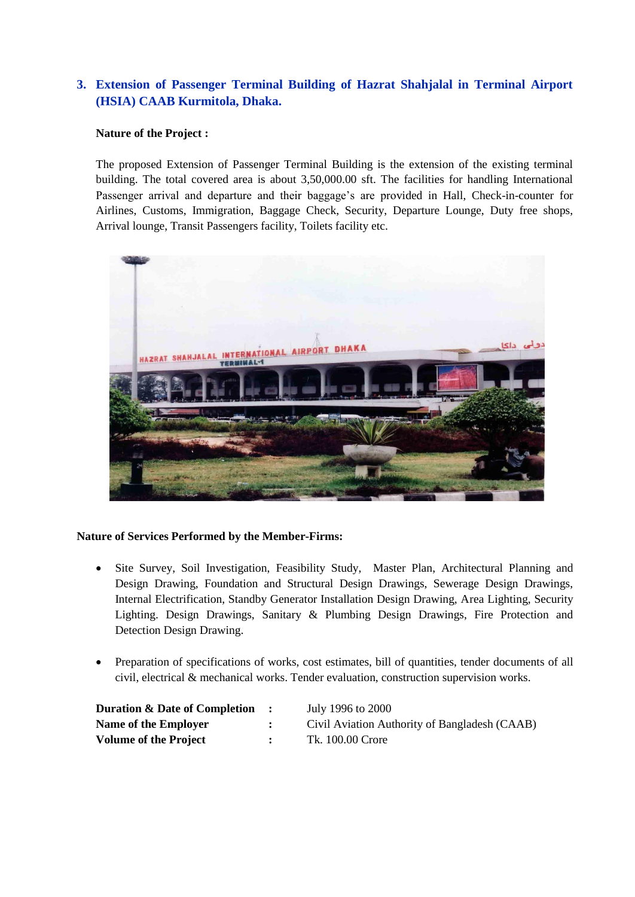# **3. Extension of Passenger Terminal Building of Hazrat Shahjalal in Terminal Airport (HSIA) CAAB Kurmitola, Dhaka.**

#### **Nature of the Project :**

The proposed Extension of Passenger Terminal Building is the extension of the existing terminal building. The total covered area is about 3,50,000.00 sft. The facilities for handling International Passenger arrival and departure and their baggage's are provided in Hall, Check-in-counter for Airlines, Customs, Immigration, Baggage Check, Security, Departure Lounge, Duty free shops, Arrival lounge, Transit Passengers facility, Toilets facility etc.



- Site Survey, Soil Investigation, Feasibility Study, Master Plan, Architectural Planning and Design Drawing, Foundation and Structural Design Drawings, Sewerage Design Drawings, Internal Electrification, Standby Generator Installation Design Drawing, Area Lighting, Security Lighting. Design Drawings, Sanitary & Plumbing Design Drawings, Fire Protection and Detection Design Drawing.
- Preparation of specifications of works, cost estimates, bill of quantities, tender documents of all civil, electrical & mechanical works. Tender evaluation, construction supervision works.

| <b>Duration &amp; Date of Completion :</b> | July 1996 to 2000                             |
|--------------------------------------------|-----------------------------------------------|
| Name of the Employer                       | Civil Aviation Authority of Bangladesh (CAAB) |
| <b>Volume of the Project</b>               | Tk. 100.00 Crore                              |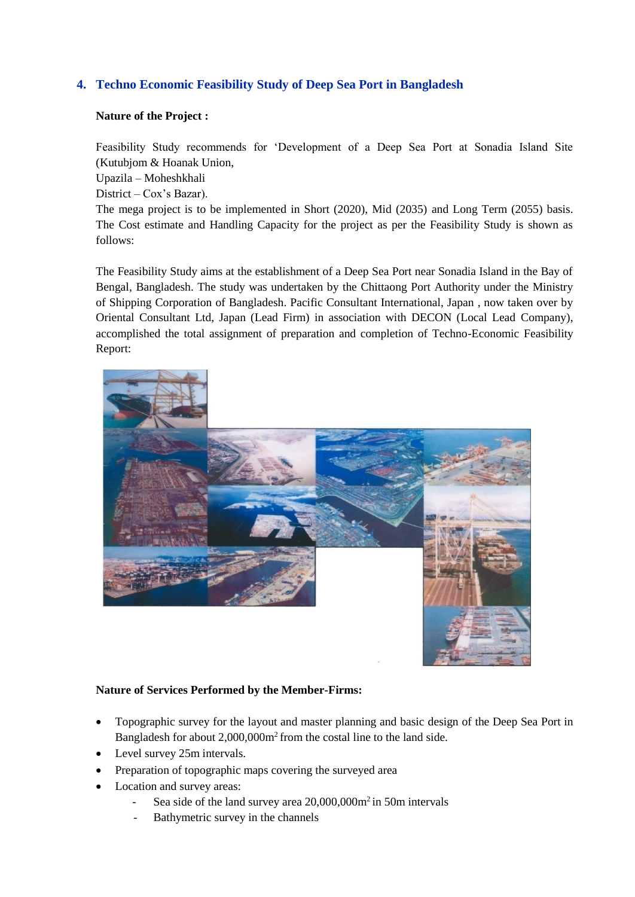## **4. Techno Economic Feasibility Study of Deep Sea Port in Bangladesh**

#### **Nature of the Project :**

Feasibility Study recommends for 'Development of a Deep Sea Port at Sonadia Island Site (Kutubjom & Hoanak Union,

Upazila – Moheshkhali

District – Cox's Bazar).

The mega project is to be implemented in Short (2020), Mid (2035) and Long Term (2055) basis. The Cost estimate and Handling Capacity for the project as per the Feasibility Study is shown as follows:

The Feasibility Study aims at the establishment of a Deep Sea Port near Sonadia Island in the Bay of Bengal, Bangladesh. The study was undertaken by the Chittaong Port Authority under the Ministry of Shipping Corporation of Bangladesh. Pacific Consultant International, Japan , now taken over by Oriental Consultant Ltd, Japan (Lead Firm) in association with DECON (Local Lead Company), accomplished the total assignment of preparation and completion of Techno-Economic Feasibility Report:



- Topographic survey for the layout and master planning and basic design of the Deep Sea Port in Bangladesh for about 2,000,000m<sup>2</sup> from the costal line to the land side.
- Level survey 25m intervals.
- Preparation of topographic maps covering the surveyed area
- Location and survey areas:
	- Sea side of the land survey area 20,000,000m<sup>2</sup> in 50m intervals
	- Bathymetric survey in the channels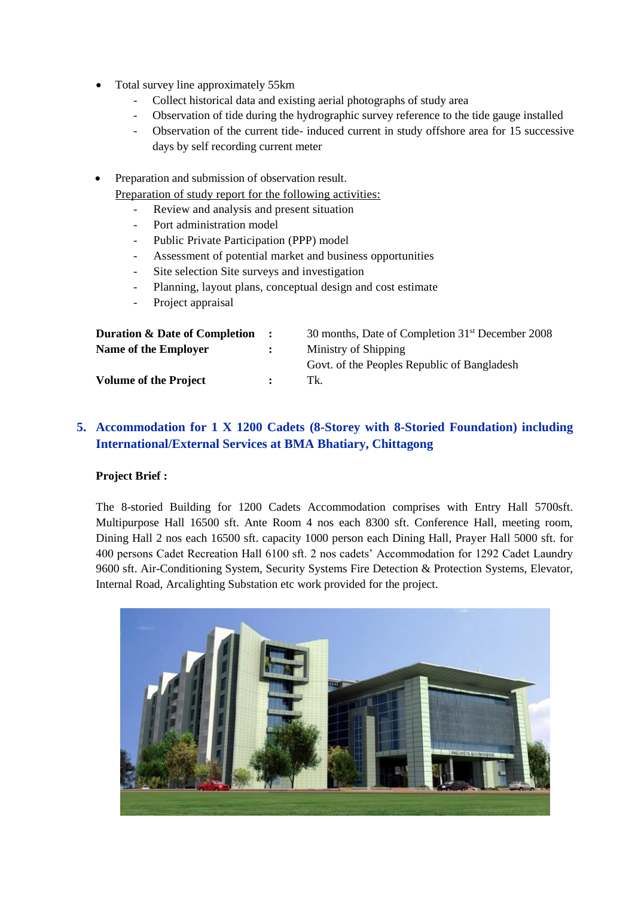- Total survey line approximately 55km
	- Collect historical data and existing aerial photographs of study area
	- Observation of tide during the hydrographic survey reference to the tide gauge installed
	- Observation of the current tide- induced current in study offshore area for 15 successive days by self recording current meter

• Preparation and submission of observation result.

Preparation of study report for the following activities:

- Review and analysis and present situation
- Port administration model
- Public Private Participation (PPP) model
- Assessment of potential market and business opportunities
- Site selection Site surveys and investigation
- Planning, layout plans, conceptual design and cost estimate
- Project appraisal

| $\mathbf{L}$ | 30 months, Date of Completion 31 <sup>st</sup> December 2008 |
|--------------|--------------------------------------------------------------|
| $\mathbf{L}$ | Ministry of Shipping                                         |
|              | Govt. of the Peoples Republic of Bangladesh                  |
| $\mathbf{r}$ | Tk.                                                          |
|              |                                                              |

# **5. Accommodation for 1 X 1200 Cadets (8-Storey with 8-Storied Foundation) including International/External Services at BMA Bhatiary, Chittagong**

## **Project Brief :**

The 8-storied Building for 1200 Cadets Accommodation comprises with Entry Hall 5700sft. Multipurpose Hall 16500 sft. Ante Room 4 nos each 8300 sft. Conference Hall, meeting room, Dining Hall 2 nos each 16500 sft. capacity 1000 person each Dining Hall, Prayer Hall 5000 sft. for 400 persons Cadet Recreation Hall 6100 sft. 2 nos cadets' Accommodation for 1292 Cadet Laundry 9600 sft. Air-Conditioning System, Security Systems Fire Detection & Protection Systems, Elevator, Internal Road, Arcalighting Substation etc work provided for the project.

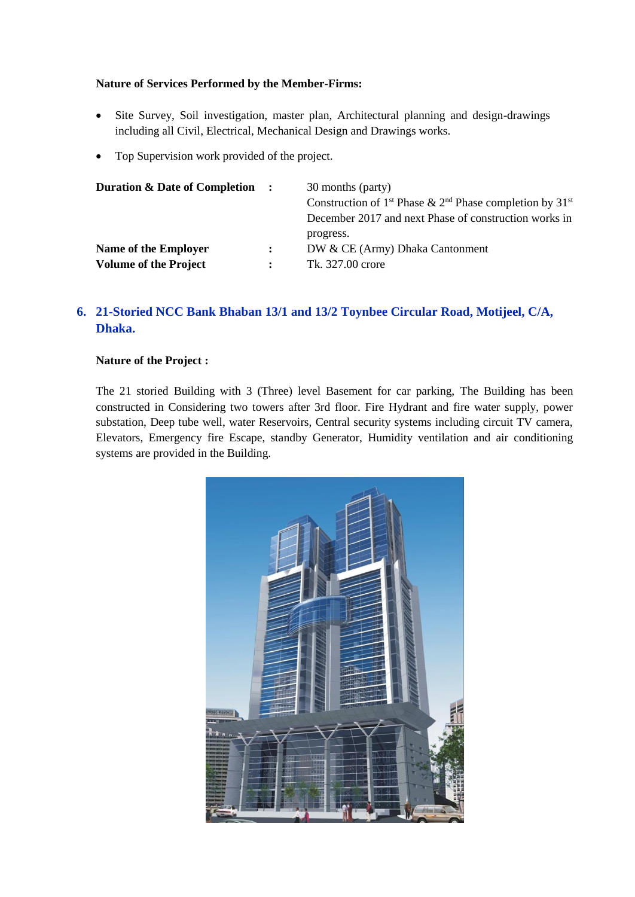#### **Nature of Services Performed by the Member-Firms:**

- Site Survey, Soil investigation, master plan, Architectural planning and design-drawings including all Civil, Electrical, Mechanical Design and Drawings works.
- Top Supervision work provided of the project.

| <b>Duration &amp; Date of Completion :</b>           |                                | 30 months (party)<br>Construction of 1 <sup>st</sup> Phase & 2 <sup>nd</sup> Phase completion by 31 <sup>st</sup><br>December 2017 and next Phase of construction works in |
|------------------------------------------------------|--------------------------------|----------------------------------------------------------------------------------------------------------------------------------------------------------------------------|
| Name of the Employer<br><b>Volume of the Project</b> | $\mathbf{L}$<br>$\ddot{\cdot}$ | progress.<br>DW & CE (Army) Dhaka Cantonment<br>Tk. 327.00 crore                                                                                                           |

# **6. 21-Storied NCC Bank Bhaban 13/1 and 13/2 Toynbee Circular Road, Motijeel, C/A, Dhaka.**

#### **Nature of the Project :**

The 21 storied Building with 3 (Three) level Basement for car parking, The Building has been constructed in Considering two towers after 3rd floor. Fire Hydrant and fire water supply, power substation, Deep tube well, water Reservoirs, Central security systems including circuit TV camera, Elevators, Emergency fire Escape, standby Generator, Humidity ventilation and air conditioning systems are provided in the Building.

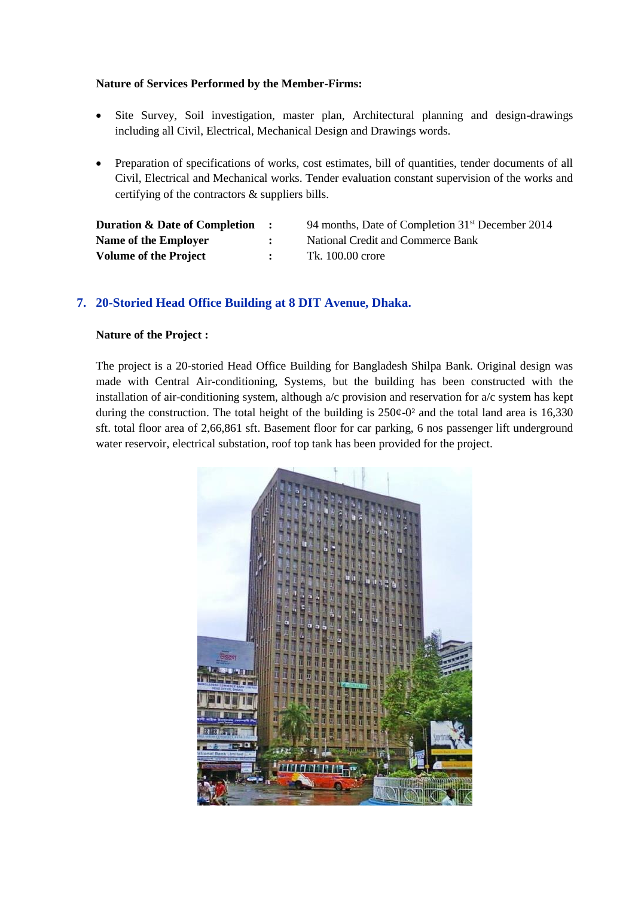#### **Nature of Services Performed by the Member-Firms:**

- Site Survey, Soil investigation, master plan, Architectural planning and design-drawings including all Civil, Electrical, Mechanical Design and Drawings words.
- Preparation of specifications of works, cost estimates, bill of quantities, tender documents of all Civil, Electrical and Mechanical works. Tender evaluation constant supervision of the works and certifying of the contractors & suppliers bills.

| <b>Duration &amp; Date of Completion :</b> | 94 months, Date of Completion 31 <sup>st</sup> December 2014 |
|--------------------------------------------|--------------------------------------------------------------|
| Name of the Employer                       | National Credit and Commerce Bank                            |
| <b>Volume of the Project</b>               | Tk. 100.00 crore                                             |

#### **7. 20-Storied Head Office Building at 8 DIT Avenue, Dhaka.**

#### **Nature of the Project :**

The project is a 20-storied Head Office Building for Bangladesh Shilpa Bank. Original design was made with Central Air-conditioning, Systems, but the building has been constructed with the installation of air-conditioning system, although  $a/c$  provision and reservation for  $a/c$  system has kept during the construction. The total height of the building is  $250¢-0<sup>2</sup>$  and the total land area is 16,330 sft. total floor area of 2,66,861 sft. Basement floor for car parking, 6 nos passenger lift underground water reservoir, electrical substation, roof top tank has been provided for the project.

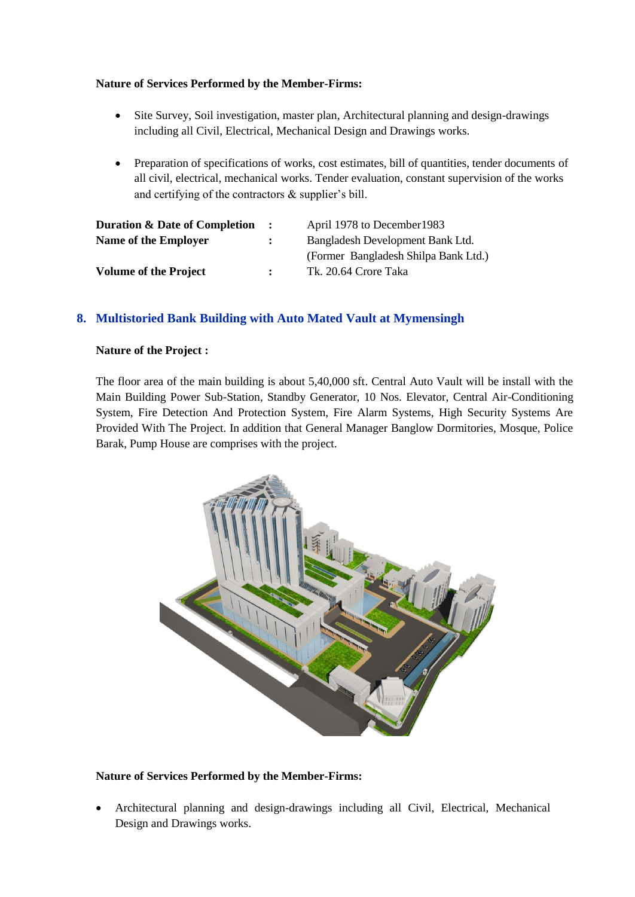#### **Nature of Services Performed by the Member-Firms:**

- Site Survey, Soil investigation, master plan, Architectural planning and design-drawings including all Civil, Electrical, Mechanical Design and Drawings works.
- Preparation of specifications of works, cost estimates, bill of quantities, tender documents of all civil, electrical, mechanical works. Tender evaluation, constant supervision of the works and certifying of the contractors & supplier's bill.

| <b>Duration &amp; Date of Completion</b> | $\mathbf{r}$ | April 1978 to December 1983          |  |
|------------------------------------------|--------------|--------------------------------------|--|
| Name of the Employer                     |              | Bangladesh Development Bank Ltd.     |  |
|                                          |              | (Former Bangladesh Shilpa Bank Ltd.) |  |
| <b>Volume of the Project</b>             |              | Tk. 20.64 Crore Taka                 |  |

#### **8. Multistoried Bank Building with Auto Mated Vault at Mymensingh**

#### **Nature of the Project :**

The floor area of the main building is about 5,40,000 sft. Central Auto Vault will be install with the Main Building Power Sub-Station, Standby Generator, 10 Nos. Elevator, Central Air-Conditioning System, Fire Detection And Protection System, Fire Alarm Systems, High Security Systems Are Provided With The Project. In addition that General Manager Banglow Dormitories, Mosque, Police Barak, Pump House are comprises with the project.



#### **Nature of Services Performed by the Member-Firms:**

• Architectural planning and design-drawings including all Civil, Electrical, Mechanical Design and Drawings works.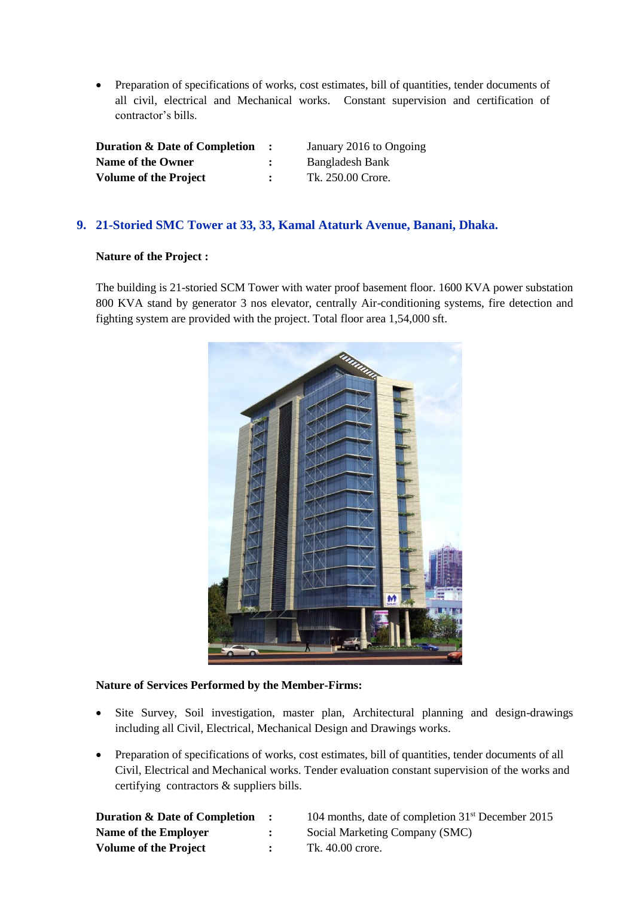• Preparation of specifications of works, cost estimates, bill of quantities, tender documents of all civil, electrical and Mechanical works. Constant supervision and certification of contractor's bills.

| <b>Duration &amp; Date of Completion</b> |  |
|------------------------------------------|--|
| <b>Name of the Owner</b>                 |  |
| <b>Volume of the Project</b>             |  |

January 2016 to Ongoing **Name of the Owner :** Bangladesh Bank Tk. 250.00 Crore.

#### **9. 21-Storied SMC Tower at 33, 33, Kamal Ataturk Avenue, Banani, Dhaka.**

#### **Nature of the Project :**

The building is 21-storied SCM Tower with water proof basement floor. 1600 KVA power substation 800 KVA stand by generator 3 nos elevator, centrally Air-conditioning systems, fire detection and fighting system are provided with the project. Total floor area 1,54,000 sft.



- Site Survey, Soil investigation, master plan, Architectural planning and design-drawings including all Civil, Electrical, Mechanical Design and Drawings works.
- Preparation of specifications of works, cost estimates, bill of quantities, tender documents of all Civil, Electrical and Mechanical works. Tender evaluation constant supervision of the works and certifying contractors & suppliers bills.

| <b>Duration &amp; Date of Completion</b> | $\sim$ $\sim$  | 104 months, date of completion $31st$ December 2015 |
|------------------------------------------|----------------|-----------------------------------------------------|
| Name of the Employer                     | $\ddot{\cdot}$ | Social Marketing Company (SMC)                      |
| <b>Volume of the Project</b>             | $\mathbf{r}$   | Tk. 40.00 crore.                                    |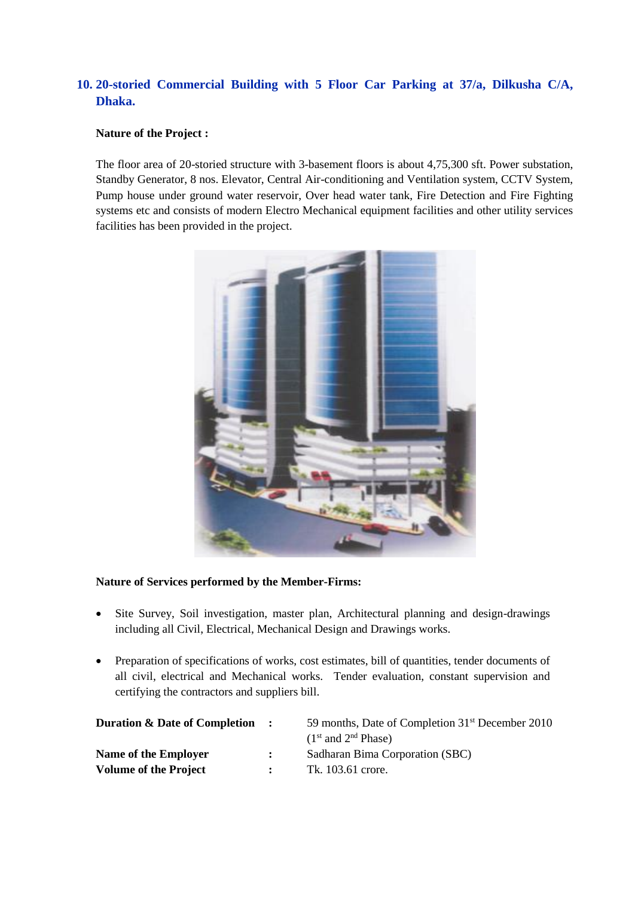# **10. 20-storied Commercial Building with 5 Floor Car Parking at 37/a, Dilkusha C/A, Dhaka.**

#### **Nature of the Project :**

The floor area of 20-storied structure with 3-basement floors is about 4,75,300 sft. Power substation, Standby Generator, 8 nos. Elevator, Central Air-conditioning and Ventilation system, CCTV System, Pump house under ground water reservoir, Over head water tank, Fire Detection and Fire Fighting systems etc and consists of modern Electro Mechanical equipment facilities and other utility services facilities has been provided in the project.



- Site Survey, Soil investigation, master plan, Architectural planning and design-drawings including all Civil, Electrical, Mechanical Design and Drawings works.
- Preparation of specifications of works, cost estimates, bill of quantities, tender documents of all civil, electrical and Mechanical works. Tender evaluation, constant supervision and certifying the contractors and suppliers bill.

| <b>Duration &amp; Date of Completion :</b> | 59 months, Date of Completion 31 <sup>st</sup> December 2010 |
|--------------------------------------------|--------------------------------------------------------------|
|                                            | $(1st$ and $2nd$ Phase)                                      |
| Name of the Employer                       | Sadharan Bima Corporation (SBC)                              |
| <b>Volume of the Project</b>               | Tk. 103.61 crore.                                            |